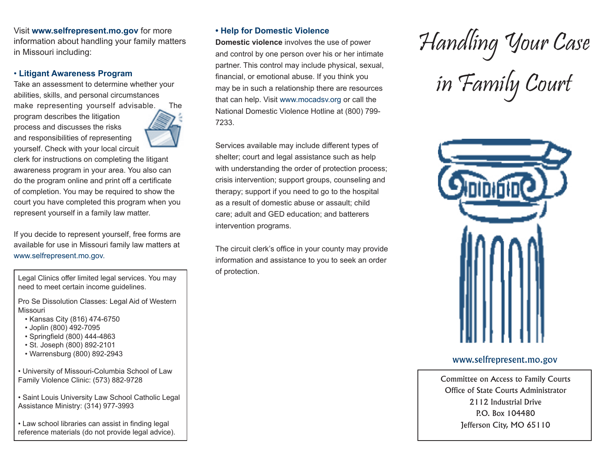Visit **www.selfrepresent.mo.gov** for more information about handling your family matters in Missouri including:

## • **Litigant Awareness Program**

Take an assessment to determine whether your abilities, skills, and personal circumstances make representing yourself advisable. The

program describes the litigation process and discusses the risks and responsibilities of representing yourself. Check with your local circuit



clerk for instructions on completing the litigant awareness program in your area. You also can do the program online and print off a certificate of completion. You may be required to show the court you have completed this program when you represent yourself in a family law matter.

If you decide to represent yourself, free forms are available for use in Missouri family law matters at www.selfrepresent.mo.gov.

Legal Clinics offer limited legal services. You may need to meet certain income guidelines.

Pro Se Dissolution Classes: Legal Aid of Western Missouri

- Kansas City (816) 474-6750
- Joplin (800) 492-7095
- Springfield (800) 444-4863
- St. Joseph (800) 892-2101
- Warrensburg (800) 892-2943

• University of Missouri-Columbia School of Law Family Violence Clinic: (573) 882-9728

• Saint Louis University Law School Catholic Legal Assistance Ministry: (314) 977-3993

• Law school libraries can assist in finding legal reference materials (do not provide legal advice).

# **• Help for Domestic Violence**

**Domestic violence** involves the use of power and control by one person over his or her intimate partner. This control may include physical, sexual, financial, or emotional abuse. If you think you may be in such a relationship there are resources that can help. Visit www.mocadsv.org or call the National Domestic Violence Hotline at (800) 799- 7233.

Services available may include different types of shelter; court and legal assistance such as help with understanding the order of protection process; crisis intervention; support groups, counseling and therapy; support if you need to go to the hospital as a result of domestic abuse or assault; child care; adult and GED education; and batterers intervention programs.

The circuit clerk's office in your county may provide information and assistance to you to seek an order of protection.





## www.selfrepresent.mo.gov

Committee on Access to Family Courts Office of State Courts Administrator 2112 Industrial Drive P.O. Box 104480 Jefferson City, MO 65110